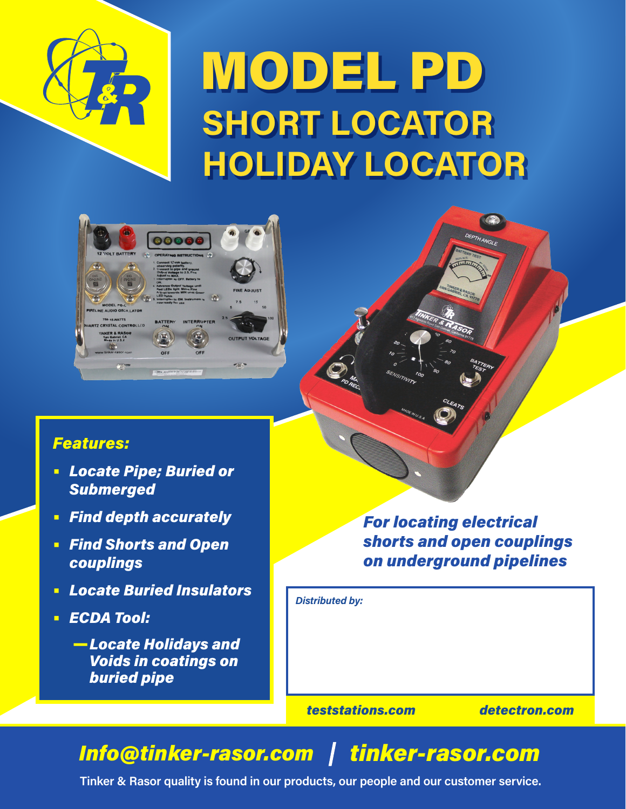

# MODEL PD **SHORT LOCATOR HOLIDAY LOCATOR**



### *Features:*

- **•** *Locate Pipe; Buried or Submerged*
- **•** *Find depth accurately*
- **•** *Find Shorts and Open couplings*
- **•** *Locate Buried Insulators*
- **•** *ECDA Tool:*
	- —*Locate Holidays and Voids in coatings on buried pipe*

*For locating electrical shorts and open couplings on underground pipelines*

DEPTH ANGLE

*Distributed by:*

*teststations.com detectron.com*

## *Info@tinker-rasor.com tinker-rasor.com*

**Tinker & Rasor quality is found in our products, our people and our customer service.**